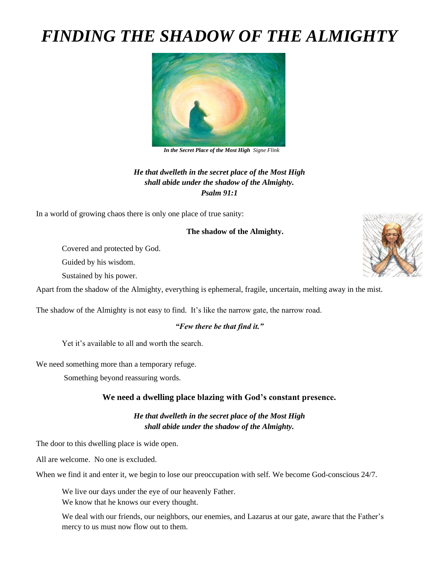# *FINDING THE SHADOW OF THE ALMIGHTY*



 *In the Secret Place of the Most High Signe Flink*

*He that dwelleth in the secret place of the Most High shall abide under the shadow of the Almighty. Psalm 91:1*

In a world of growing chaos there is only one place of true sanity:

#### **The shadow of the Almighty.**

Covered and protected by God.

Guided by his wisdom.

Sustained by his power.

Apart from the shadow of the Almighty, everything is ephemeral, fragile, uncertain, melting away in the mist.

The shadow of the Almighty is not easy to find. It's like the narrow gate, the narrow road.

#### *"Few there be that find it."*

Yet it's available to all and worth the search.

We need something more than a temporary refuge.

Something beyond reassuring words.

#### **We need a dwelling place blazing with God's constant presence.**

*He that dwelleth in the secret place of the Most High shall abide under the shadow of the Almighty.*

The door to this dwelling place is wide open.

All are welcome. No one is excluded.

When we find it and enter it, we begin to lose our preoccupation with self. We become God-conscious 24/7.

We live our days under the eye of our heavenly Father.

We know that he knows our every thought.

We deal with our friends, our neighbors, our enemies, and Lazarus at our gate, aware that the Father's mercy to us must now flow out to them.